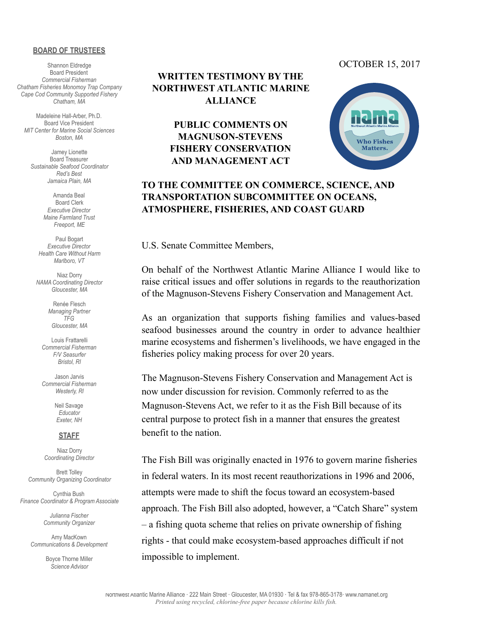#### **BOARD OF TRUSTEES**

Shannon Eldredge Board President *Commercial Fisherman Chatham Fisheries Monomoy Trap Company Cape Cod Community Supported Fishery Chatham, MA* 

Madeleine Hall-Arber, Ph.D. Board Vice President *MIT Center for Marine Social Sciences Boston, MA* 

Jamey Lionette Board Treasurer *Sustainable Seafood Coordinator Red's Best Jamaica Plain, MA* 

> Amanda Beal Board Clerk *Executive Director Maine Farmland Trust Freeport, ME*

Paul Bogart *Executive Director Health Care Without Harm Marlboro, VT* 

Niaz Dorry *NAMA Coordinating Director Gloucester, MA* 

> Renée Flesch *Managing Partner TFG Gloucester, MA*

Louis Frattarelli *Commercial Fisherman F/V Seasurfer Bristol, RI* 

Jason Jarvis *Commercial Fisherman Westerly, RI* 

> Neil Savage *Educator Exeter, NH*

#### **STAFF**

Niaz Dorry *Coordinating Director* 

Brett Tolley *Community Organizing Coordinator* 

Cynthia Bush *Finance Coordinator & Program Associate* 

> *Julianna Fischer Community Organizer*

Amy MacKown *Communications & Development* 

> Boyce Thorne Miller *Science Advisor*

# **WRITTEN TESTIMONY BY THE NORTHWEST ATLANTIC MARINE ALLIANCE**

**PUBLIC COMMENTS ON MAGNUSON-STEVENS FISHERY CONSERVATION AND MANAGEMENT ACT** 

#### OCTOBER 15, 2017



## **TO THE COMMITTEE ON COMMERCE, SCIENCE, AND TRANSPORTATION SUBCOMMITTEE ON OCEANS, ATMOSPHERE, FISHERIES, AND COAST GUARD**

U.S. Senate Committee Members,

On behalf of the Northwest Atlantic Marine Alliance I would like to raise critical issues and offer solutions in regards to the reauthorization of the Magnuson-Stevens Fishery Conservation and Management Act.

As an organization that supports fishing families and values-based seafood businesses around the country in order to advance healthier marine ecosystems and fishermen's livelihoods, we have engaged in the fisheries policy making process for over 20 years.

The Magnuson-Stevens Fishery Conservation and Management Act is now under discussion for revision. Commonly referred to as the Magnuson-Stevens Act, we refer to it as the Fish Bill because of its central purpose to protect fish in a manner that ensures the greatest benefit to the nation.

The Fish Bill was originally enacted in 1976 to govern marine fisheries in federal waters. In its most recent reauthorizations in 1996 and 2006, attempts were made to shift the focus toward an ecosystem-based approach. The Fish Bill also adopted, however, a "Catch Share" system – a fishing quota scheme that relies on private ownership of fishing rights - that could make ecosystem-based approaches difficult if not impossible to implement.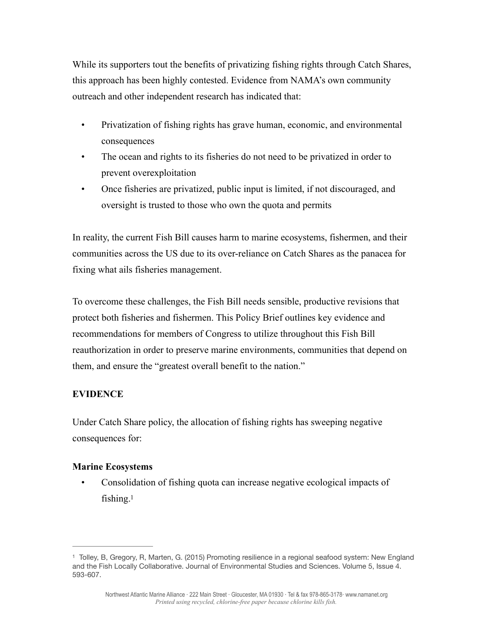While its supporters tout the benefits of privatizing fishing rights through Catch Shares, this approach has been highly contested. Evidence from NAMA's own community outreach and other independent research has indicated that:

- Privatization of fishing rights has grave human, economic, and environmental consequences
- The ocean and rights to its fisheries do not need to be privatized in order to prevent overexploitation
- Once fisheries are privatized, public input is limited, if not discouraged, and oversight is trusted to those who own the quota and permits

In reality, the current Fish Bill causes harm to marine ecosystems, fishermen, and their communities across the US due to its over-reliance on Catch Shares as the panacea for fixing what ails fisheries management.

To overcome these challenges, the Fish Bill needs sensible, productive revisions that protect both fisheries and fishermen. This Policy Brief outlines key evidence and recommendations for members of Congress to utilize throughout this Fish Bill reauthorization in order to preserve marine environments, communities that depend on them, and ensure the "greatest overall benefit to the nation."

## **EVIDENCE**

Under Catch Share policy, the allocation of fishing rights has sweeping negative consequences for:

## **Marine Ecosystems**

<span id="page-1-1"></span> • Consolidation of fishing quota can increase negative ecological impacts of fishing. $1$ 

<span id="page-1-0"></span><sup>&</sup>lt;sup>[1](#page-1-1)</sup> Tolley, B, Gregory, R, Marten, G. (2015) Promoting resilience in a regional seafood system: New England and the Fish Locally Collaborative. Journal of Environmental Studies and Sciences. Volume 5, Issue 4. 593-607.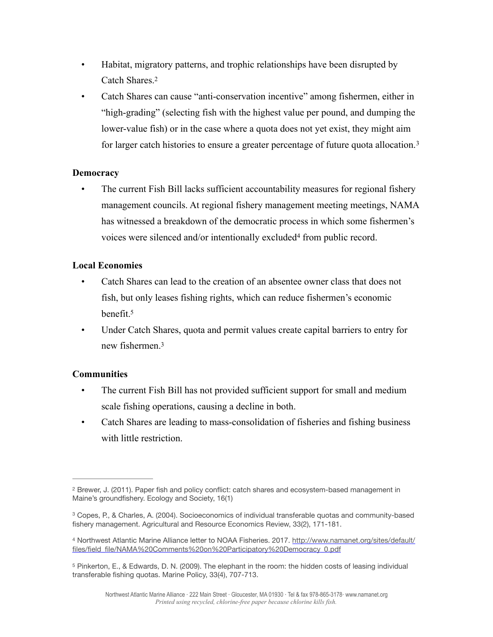- Habitat, migratory patterns, and trophic relationships have been disrupted by Catch Shares.[2](#page-2-0)
- <span id="page-2-5"></span><span id="page-2-4"></span> • Catch Shares can cause "anti-conservation incentive" among fishermen, either in "high-grading" (selecting fish with the highest value per pound, and dumping the lower-value fish) or in the case where a quota does not yet exist, they might aim for larger catch histories to ensure a greater percentage of future quota allocation. [3](#page-2-1)

## **Democracy**

 • The current Fish Bill lacks sufficient accountability measures for regional fishery management councils. At regional fishery management meeting meetings, NAMA has witnessed a breakdown of the democratic process in which some fishermen's voiceswere silenced and/or intentionally excluded<sup>[4](#page-2-2)</sup> from public record.

#### **Local Economies**

- <span id="page-2-6"></span> • Catch Shares can lead to the creation of an absentee owner class that does not fish, but only leases fishing rights, which can reduce fishermen's economic benefit[.5](#page-2-3)
- <span id="page-2-7"></span> • Under Catch Shares, quota and permit values create capital barriers to entry for new fishermen.3

## **Communities**

- The current Fish Bill has not provided sufficient support for small and medium scale fishing operations, causing a decline in both.
- Catch Shares are leading to mass-consolidation of fisheries and fishing business with little restriction.

<span id="page-2-0"></span><sup>&</sup>lt;sup>[2](#page-2-4)</sup> Brewer, J. (2011). Paper fish and policy conflict: catch shares and ecosystem-based management in Maine's groundfishery. Ecology and Society, 16(1)

<span id="page-2-1"></span><sup>&</sup>lt;sup>[3](#page-2-5)</sup> Copes, P., & Charles, A. (2004). Socioeconomics of individual transferable quotas and community-based fishery management. Agricultural and Resource Economics Review, 33(2), 171-181.

<span id="page-2-2"></span><sup>4</sup> Northwest Atlantic Marine Alliance letter to NOAA Fisheries. 2017. [http://www.namanet.org/sites/default/](http://www.namanet.org/sites/default/files/field_file/NAMA%20Comments%20on%20Participatory%20Democracy_0.pdf) [files/field\\_file/NAMA%20Comments%20on%20Participatory%20Democracy\\_0.pdf](http://www.namanet.org/sites/default/files/field_file/NAMA%20Comments%20on%20Participatory%20Democracy_0.pdf)

<span id="page-2-3"></span><sup>&</sup>lt;sup>[5](#page-2-7)</sup> Pinkerton, E., & Edwards, D. N. (2009). The elephant in the room: the hidden costs of leasing individual transferable fishing quotas. Marine Policy, 33(4), 707-713.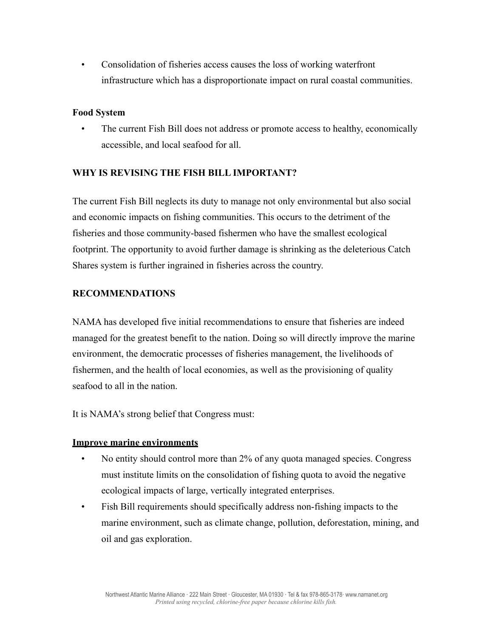• Consolidation of fisheries access causes the loss of working waterfront infrastructure which has a disproportionate impact on rural coastal communities.

#### **Food System**

 • The current Fish Bill does not address or promote access to healthy, economically accessible, and local seafood for all.

## **WHY IS REVISING THE FISH BILL IMPORTANT?**

The current Fish Bill neglects its duty to manage not only environmental but also social and economic impacts on fishing communities. This occurs to the detriment of the fisheries and those community-based fishermen who have the smallest ecological footprint. The opportunity to avoid further damage is shrinking as the deleterious Catch Shares system is further ingrained in fisheries across the country.

## **RECOMMENDATIONS**

NAMA has developed five initial recommendations to ensure that fisheries are indeed managed for the greatest benefit to the nation. Doing so will directly improve the marine environment, the democratic processes of fisheries management, the livelihoods of fishermen, and the health of local economies, as well as the provisioning of quality seafood to all in the nation.

It is NAMA's strong belief that Congress must:

#### **Improve marine environments**

- No entity should control more than 2% of any quota managed species. Congress must institute limits on the consolidation of fishing quota to avoid the negative ecological impacts of large, vertically integrated enterprises.
- Fish Bill requirements should specifically address non-fishing impacts to the marine environment, such as climate change, pollution, deforestation, mining, and oil and gas exploration.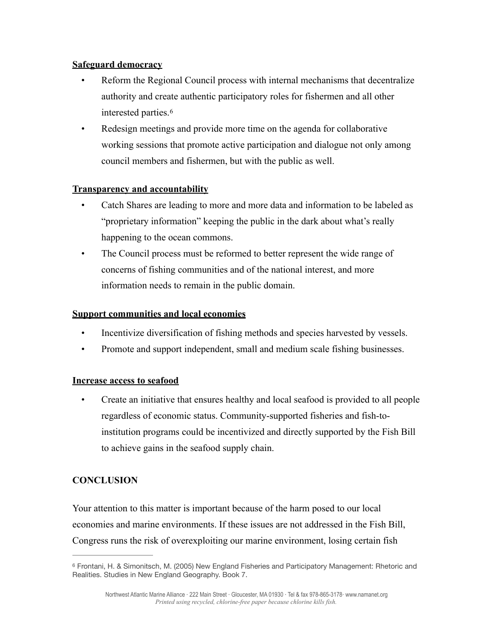## **Safeguard democracy**

- Reform the Regional Council process with internal mechanisms that decentralize authority and create authentic participatory roles for fishermen and all other interested parties. [6](#page-4-0)
- <span id="page-4-1"></span>Redesign meetings and provide more time on the agenda for collaborative working sessions that promote active participation and dialogue not only among council members and fishermen, but with the public as well.

# **Transparency and accountability**

- Catch Shares are leading to more and more data and information to be labeled as "proprietary information" keeping the public in the dark about what's really happening to the ocean commons.
- The Council process must be reformed to better represent the wide range of concerns of fishing communities and of the national interest, and more information needs to remain in the public domain.

## **Support communities and local economies**

- Incentivize diversification of fishing methods and species harvested by vessels.
- Promote and support independent, small and medium scale fishing businesses.

## **Increase access to seafood**

 • Create an initiative that ensures healthy and local seafood is provided to all people regardless of economic status. Community-supported fisheries and fish-toinstitution programs could be incentivized and directly supported by the Fish Bill to achieve gains in the seafood supply chain.

# **CONCLUSION**

Your attention to this matter is important because of the harm posed to our local economies and marine environments. If these issues are not addressed in the Fish Bill, Congress runs the risk of overexploiting our marine environment, losing certain fish

<span id="page-4-0"></span>[<sup>6</sup>](#page-4-1) Frontani, H. & Simonitsch, M. (2005) New England Fisheries and Participatory Management: Rhetoric and Realities. Studies in New England Geography. Book 7.